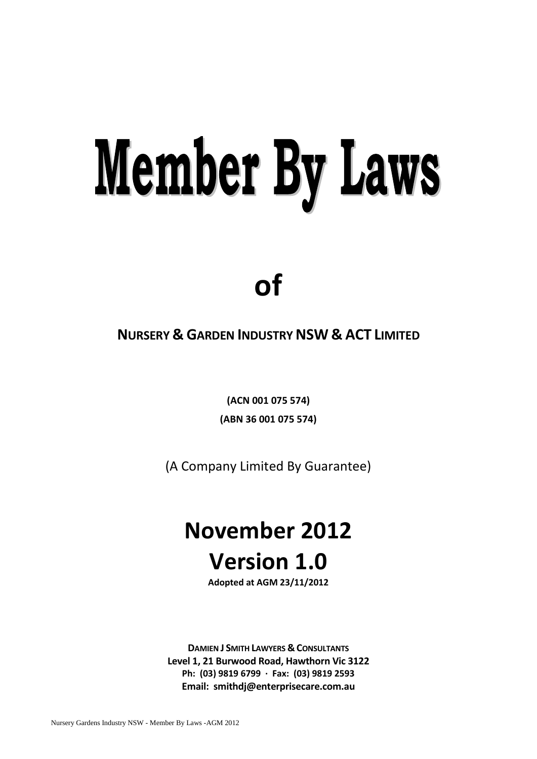# **Member By Laws**

# **of**

## **NURSERY & GARDEN INDUSTRYNSW & ACT LIMITED**

**(ACN 001 075 574) (ABN 36 001 075 574)**

(A Company Limited By Guarantee)

## **November 2012 Version 1.0**

**Adopted at AGM 23/11/2012**

**DAMIEN J SMITH LAWYERS & CONSULTANTS Level 1, 21 Burwood Road, Hawthorn Vic 3122 Ph: (03) 9819 6799 · Fax: (03) 9819 2593 Email: smithdj@enterprisecare.com.au**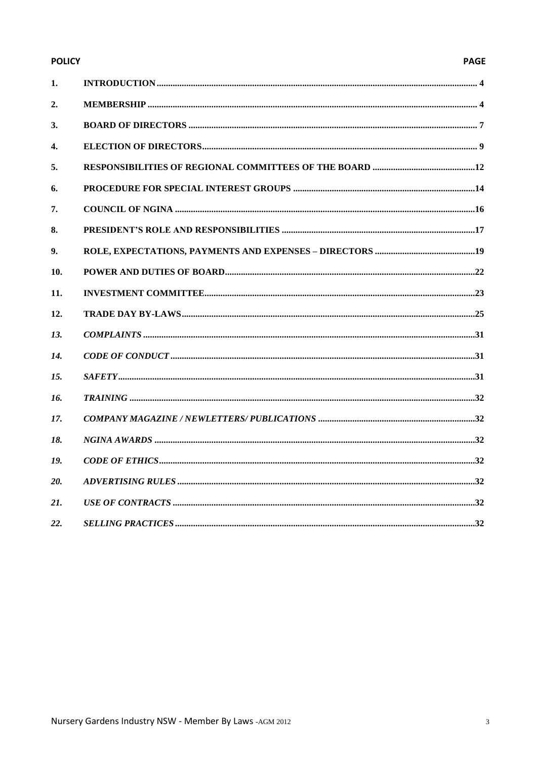#### **POLICY**

#### **PAGE**

| 1.  |  |
|-----|--|
| 2.  |  |
| 3.  |  |
| 4.  |  |
| 5.  |  |
| 6.  |  |
| 7.  |  |
| 8.  |  |
| 9.  |  |
| 10. |  |
| 11. |  |
| 12. |  |
| 13. |  |
| 14. |  |
| 15. |  |
| 16. |  |
| 17. |  |
| 18. |  |
| 19. |  |
| 20. |  |
| 21. |  |
| 22. |  |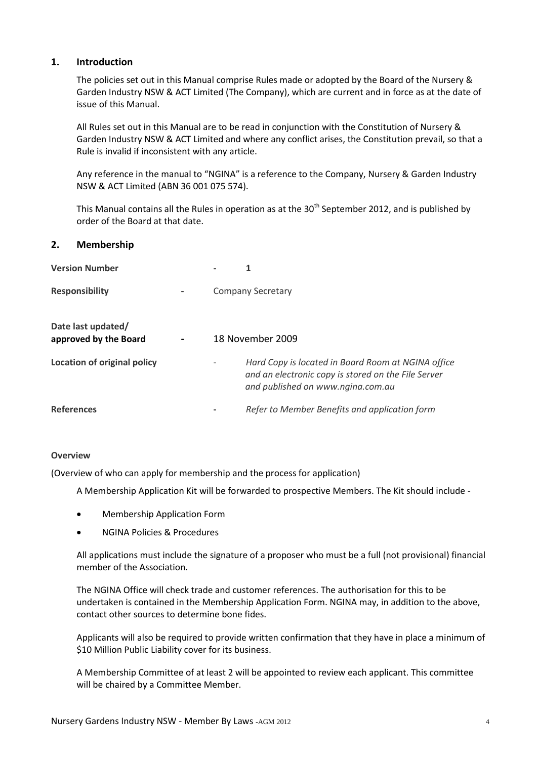#### <span id="page-3-0"></span>**1. Introduction**

The policies set out in this Manual comprise Rules made or adopted by the Board of the Nursery & Garden Industry NSW & ACT Limited (The Company), which are current and in force as at the date of issue of this Manual.

All Rules set out in this Manual are to be read in conjunction with the Constitution of Nursery & Garden Industry NSW & ACT Limited and where any conflict arises, the Constitution prevail, so that a Rule is invalid if inconsistent with any article.

Any reference in the manual to "NGINA" is a reference to the Company, Nursery & Garden Industry NSW & ACT Limited (ABN 36 001 075 574).

This Manual contains all the Rules in operation as at the  $30<sup>th</sup>$  September 2012, and is published by order of the Board at that date.

#### <span id="page-3-1"></span>**2. Membership**

| <b>Version Number</b>                       |  | 1                                                                                                                                              |
|---------------------------------------------|--|------------------------------------------------------------------------------------------------------------------------------------------------|
| <b>Responsibility</b>                       |  | <b>Company Secretary</b>                                                                                                                       |
| Date last updated/<br>approved by the Board |  | 18 November 2009                                                                                                                               |
| <b>Location of original policy</b>          |  | Hard Copy is located in Board Room at NGINA office<br>and an electronic copy is stored on the File Server<br>and published on www.ngina.com.au |
| <b>References</b>                           |  | Refer to Member Benefits and application form                                                                                                  |

#### **Overview**

(Overview of who can apply for membership and the process for application)

A Membership Application Kit will be forwarded to prospective Members. The Kit should include -

- Membership Application Form
- NGINA Policies & Procedures

All applications must include the signature of a proposer who must be a full (not provisional) financial member of the Association.

The NGINA Office will check trade and customer references. The authorisation for this to be undertaken is contained in the Membership Application Form. NGINA may, in addition to the above, contact other sources to determine bone fides.

Applicants will also be required to provide written confirmation that they have in place a minimum of \$10 Million Public Liability cover for its business.

A Membership Committee of at least 2 will be appointed to review each applicant. This committee will be chaired by a Committee Member.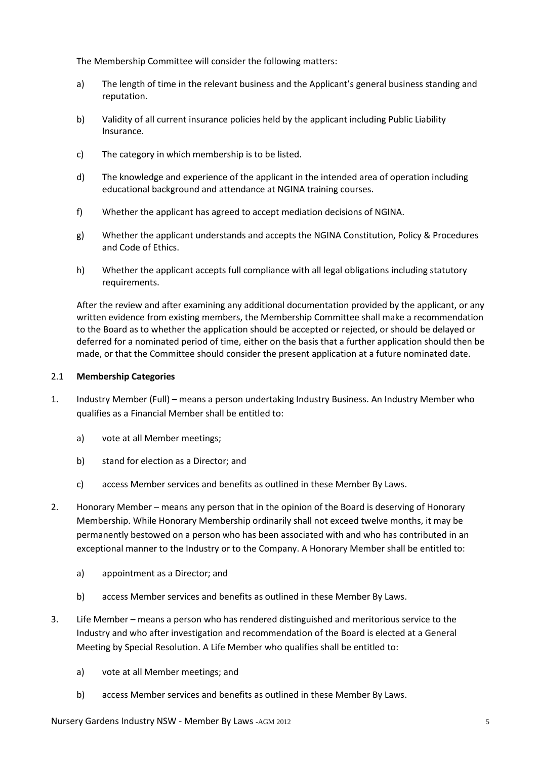The Membership Committee will consider the following matters:

- a) The length of time in the relevant business and the Applicant's general business standing and reputation.
- b) Validity of all current insurance policies held by the applicant including Public Liability Insurance.
- c) The category in which membership is to be listed.
- d) The knowledge and experience of the applicant in the intended area of operation including educational background and attendance at NGINA training courses.
- f) Whether the applicant has agreed to accept mediation decisions of NGINA.
- g) Whether the applicant understands and accepts the NGINA Constitution, Policy & Procedures and Code of Ethics.
- h) Whether the applicant accepts full compliance with all legal obligations including statutory requirements.

After the review and after examining any additional documentation provided by the applicant, or any written evidence from existing members, the Membership Committee shall make a recommendation to the Board as to whether the application should be accepted or rejected, or should be delayed or deferred for a nominated period of time, either on the basis that a further application should then be made, or that the Committee should consider the present application at a future nominated date.

#### 2.1 **Membership Categories**

- 1. Industry Member (Full) means a person undertaking Industry Business. An Industry Member who qualifies as a Financial Member shall be entitled to:
	- a) vote at all Member meetings;
	- b) stand for election as a Director; and
	- c) access Member services and benefits as outlined in these Member By Laws.
- 2. Honorary Member means any person that in the opinion of the Board is deserving of Honorary Membership. While Honorary Membership ordinarily shall not exceed twelve months, it may be permanently bestowed on a person who has been associated with and who has contributed in an exceptional manner to the Industry or to the Company. A Honorary Member shall be entitled to:
	- a) appointment as a Director; and
	- b) access Member services and benefits as outlined in these Member By Laws.
- 3. Life Member means a person who has rendered distinguished and meritorious service to the Industry and who after investigation and recommendation of the Board is elected at a General Meeting by Special Resolution. A Life Member who qualifies shall be entitled to:
	- a) vote at all Member meetings; and
	- b) access Member services and benefits as outlined in these Member By Laws.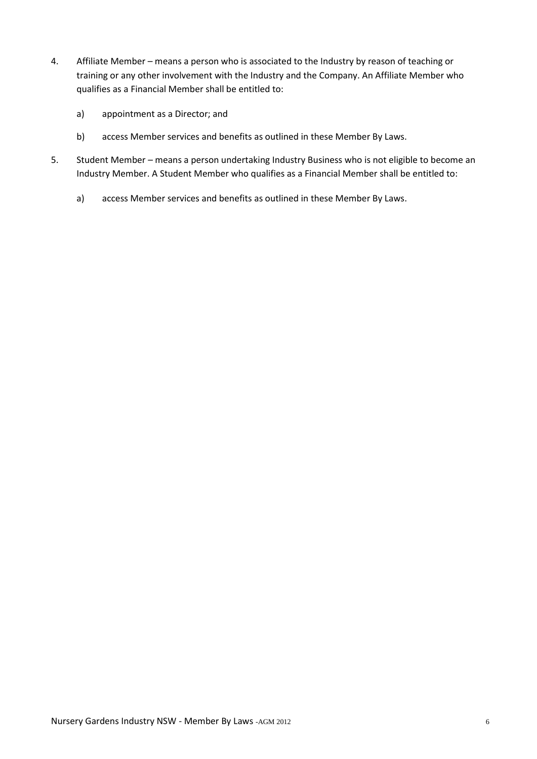- 4. Affiliate Member means a person who is associated to the Industry by reason of teaching or training or any other involvement with the Industry and the Company. An Affiliate Member who qualifies as a Financial Member shall be entitled to:
	- a) appointment as a Director; and
	- b) access Member services and benefits as outlined in these Member By Laws.
- 5. Student Member means a person undertaking Industry Business who is not eligible to become an Industry Member. A Student Member who qualifies as a Financial Member shall be entitled to:
	- a) access Member services and benefits as outlined in these Member By Laws.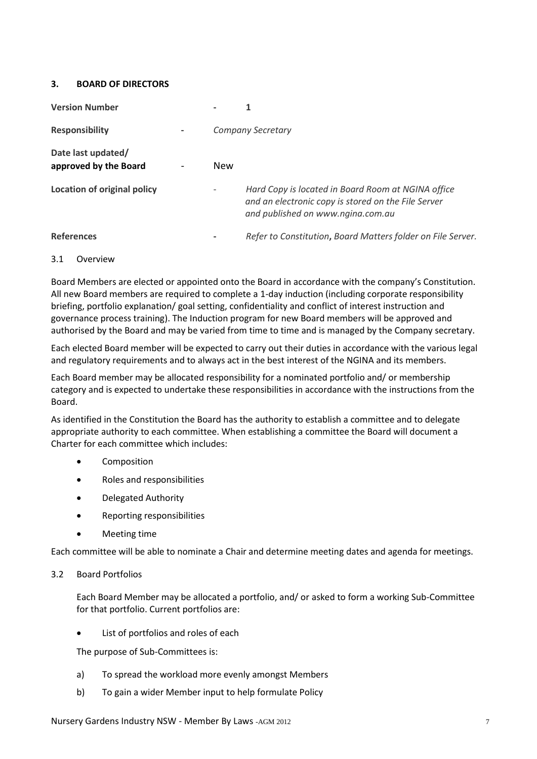#### <span id="page-6-0"></span>**3. BOARD OF DIRECTORS**

| <b>Version Number</b>                       |     | 1                                                                                                                                              |
|---------------------------------------------|-----|------------------------------------------------------------------------------------------------------------------------------------------------|
| <b>Responsibility</b>                       |     | <b>Company Secretary</b>                                                                                                                       |
| Date last updated/<br>approved by the Board | New |                                                                                                                                                |
| <b>Location of original policy</b>          |     | Hard Copy is located in Board Room at NGINA office<br>and an electronic copy is stored on the File Server<br>and published on www.ngina.com.au |
| <b>References</b>                           |     | Refer to Constitution, Board Matters folder on File Server.                                                                                    |

#### 3.1 Overview

Board Members are elected or appointed onto the Board in accordance with the company's Constitution. All new Board members are required to complete a 1-day induction (including corporate responsibility briefing, portfolio explanation/ goal setting, confidentiality and conflict of interest instruction and governance process training). The Induction program for new Board members will be approved and authorised by the Board and may be varied from time to time and is managed by the Company secretary.

Each elected Board member will be expected to carry out their duties in accordance with the various legal and regulatory requirements and to always act in the best interest of the NGINA and its members.

Each Board member may be allocated responsibility for a nominated portfolio and/ or membership category and is expected to undertake these responsibilities in accordance with the instructions from the Board.

As identified in the Constitution the Board has the authority to establish a committee and to delegate appropriate authority to each committee. When establishing a committee the Board will document a Charter for each committee which includes:

- **•** Composition
- Roles and responsibilities
- Delegated Authority
- Reporting responsibilities
- Meeting time

Each committee will be able to nominate a Chair and determine meeting dates and agenda for meetings.

#### 3.2 Board Portfolios

Each Board Member may be allocated a portfolio, and/ or asked to form a working Sub-Committee for that portfolio. Current portfolios are:

List of portfolios and roles of each

The purpose of Sub-Committees is:

- a) To spread the workload more evenly amongst Members
- b) To gain a wider Member input to help formulate Policy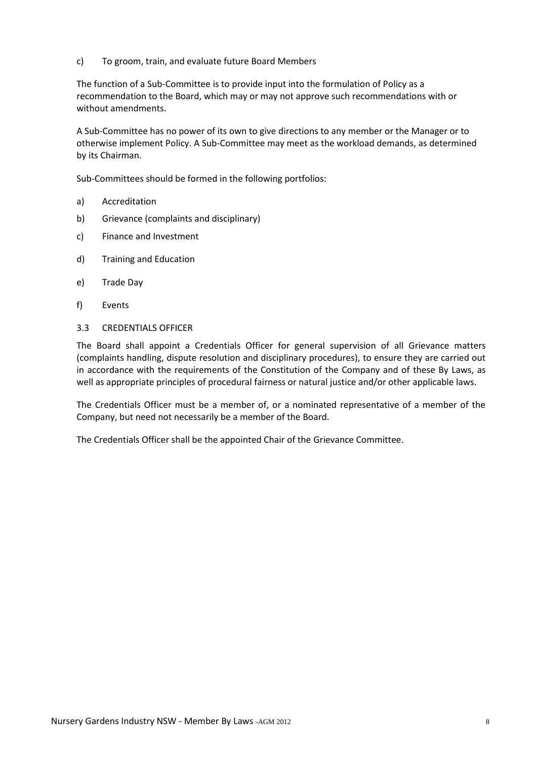c) To groom, train, and evaluate future Board Members

The function of a Sub-Committee is to provide input into the formulation of Policy as a recommendation to the Board, which may or may not approve such recommendations with or without amendments.

A Sub-Committee has no power of its own to give directions to any member or the Manager or to otherwise implement Policy. A Sub-Committee may meet as the workload demands, as determined by its Chairman.

Sub-Committees should be formed in the following portfolios:

- a) Accreditation
- b) Grievance (complaints and disciplinary)
- c) Finance and Investment
- d) Training and Education
- e) Trade Day
- f) Events
- 3.3 CREDENTIALS OFFICER

The Board shall appoint a Credentials Officer for general supervision of all Grievance matters (complaints handling, dispute resolution and disciplinary procedures), to ensure they are carried out in accordance with the requirements of the Constitution of the Company and of these By Laws, as well as appropriate principles of procedural fairness or natural justice and/or other applicable laws.

The Credentials Officer must be a member of, or a nominated representative of a member of the Company, but need not necessarily be a member of the Board.

The Credentials Officer shall be the appointed Chair of the Grievance Committee.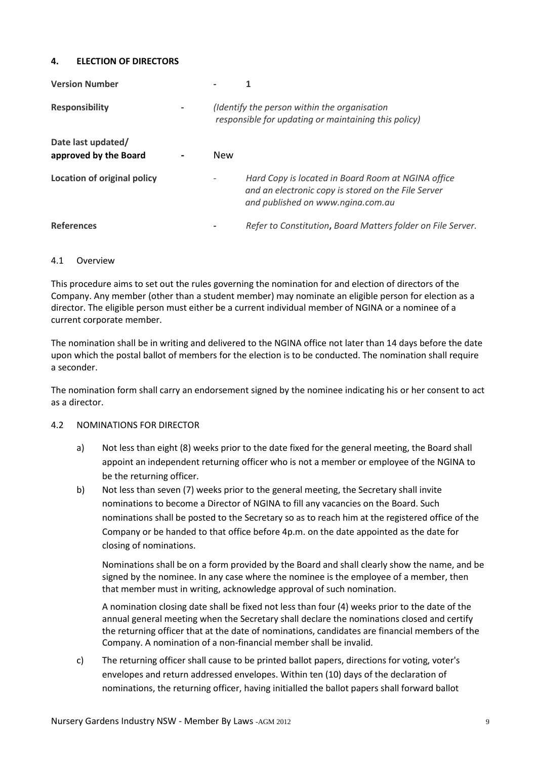#### <span id="page-8-0"></span>**4. ELECTION OF DIRECTORS**

| <b>Version Number</b>                       |            |                                                                                                                                                |
|---------------------------------------------|------------|------------------------------------------------------------------------------------------------------------------------------------------------|
| <b>Responsibility</b>                       |            | (Identify the person within the organisation<br>responsible for updating or maintaining this policy)                                           |
| Date last updated/<br>approved by the Board | <b>New</b> |                                                                                                                                                |
| Location of original policy                 |            | Hard Copy is located in Board Room at NGINA office<br>and an electronic copy is stored on the File Server<br>and published on www.ngina.com.au |
| <b>References</b>                           |            | Refer to Constitution, Board Matters folder on File Server.                                                                                    |

#### 4.1 Overview

This procedure aims to set out the rules governing the nomination for and election of directors of the Company. Any member (other than a student member) may nominate an eligible person for election as a director. The eligible person must either be a current individual member of NGINA or a nominee of a current corporate member.

The nomination shall be in writing and delivered to the NGINA office not later than 14 days before the date upon which the postal ballot of members for the election is to be conducted. The nomination shall require a seconder.

The nomination form shall carry an endorsement signed by the nominee indicating his or her consent to act as a director.

#### 4.2 NOMINATIONS FOR DIRECTOR

- a) Not less than eight (8) weeks prior to the date fixed for the general meeting, the Board shall appoint an independent returning officer who is not a member or employee of the NGINA to be the returning officer.
- b) Not less than seven (7) weeks prior to the general meeting, the Secretary shall invite nominations to become a Director of NGINA to fill any vacancies on the Board. Such nominations shall be posted to the Secretary so as to reach him at the registered office of the Company or be handed to that office before 4p.m. on the date appointed as the date for closing of nominations.

Nominations shall be on a form provided by the Board and shall clearly show the name, and be signed by the nominee. In any case where the nominee is the employee of a member, then that member must in writing, acknowledge approval of such nomination.

A nomination closing date shall be fixed not less than four (4) weeks prior to the date of the annual general meeting when the Secretary shall declare the nominations closed and certify the returning officer that at the date of nominations, candidates are financial members of the Company. A nomination of a non-financial member shall be invalid.

c) The returning officer shall cause to be printed ballot papers, directions for voting, voter's envelopes and return addressed envelopes. Within ten (10) days of the declaration of nominations, the returning officer, having initialled the ballot papers shall forward ballot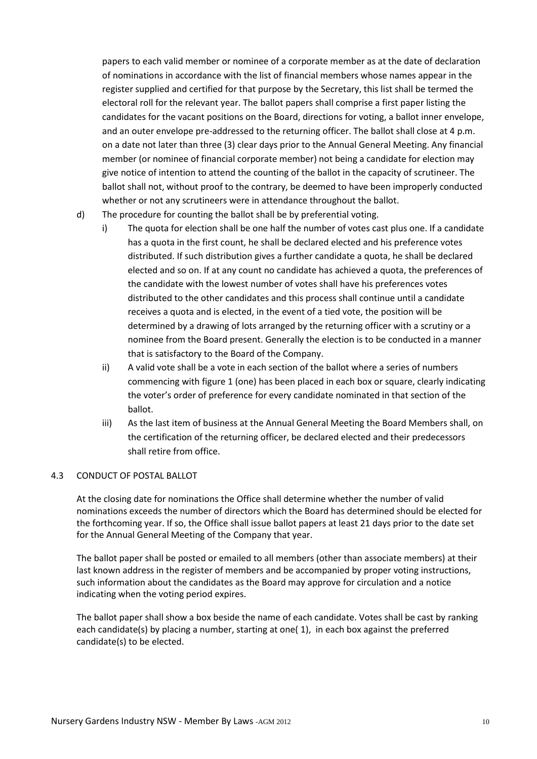papers to each valid member or nominee of a corporate member as at the date of declaration of nominations in accordance with the list of financial members whose names appear in the register supplied and certified for that purpose by the Secretary, this list shall be termed the electoral roll for the relevant year. The ballot papers shall comprise a first paper listing the candidates for the vacant positions on the Board, directions for voting, a ballot inner envelope, and an outer envelope pre-addressed to the returning officer. The ballot shall close at 4 p.m. on a date not later than three (3) clear days prior to the Annual General Meeting. Any financial member (or nominee of financial corporate member) not being a candidate for election may give notice of intention to attend the counting of the ballot in the capacity of scrutineer. The ballot shall not, without proof to the contrary, be deemed to have been improperly conducted whether or not any scrutineers were in attendance throughout the ballot.

- d) The procedure for counting the ballot shall be by preferential voting.
	- i) The quota for election shall be one half the number of votes cast plus one. If a candidate has a quota in the first count, he shall be declared elected and his preference votes distributed. If such distribution gives a further candidate a quota, he shall be declared elected and so on. If at any count no candidate has achieved a quota, the preferences of the candidate with the lowest number of votes shall have his preferences votes distributed to the other candidates and this process shall continue until a candidate receives a quota and is elected, in the event of a tied vote, the position will be determined by a drawing of lots arranged by the returning officer with a scrutiny or a nominee from the Board present. Generally the election is to be conducted in a manner that is satisfactory to the Board of the Company.
	- ii) A valid vote shall be a vote in each section of the ballot where a series of numbers commencing with figure 1 (one) has been placed in each box or square, clearly indicating the voter's order of preference for every candidate nominated in that section of the ballot.
	- iii) As the last item of business at the Annual General Meeting the Board Members shall, on the certification of the returning officer, be declared elected and their predecessors shall retire from office.

#### 4.3 CONDUCT OF POSTAL BALLOT

At the closing date for nominations the Office shall determine whether the number of valid nominations exceeds the number of directors which the Board has determined should be elected for the forthcoming year. If so, the Office shall issue ballot papers at least 21 days prior to the date set for the Annual General Meeting of the Company that year.

The ballot paper shall be posted or emailed to all members (other than associate members) at their last known address in the register of members and be accompanied by proper voting instructions, such information about the candidates as the Board may approve for circulation and a notice indicating when the voting period expires.

The ballot paper shall show a box beside the name of each candidate. Votes shall be cast by ranking each candidate(s) by placing a number, starting at one( 1), in each box against the preferred candidate(s) to be elected.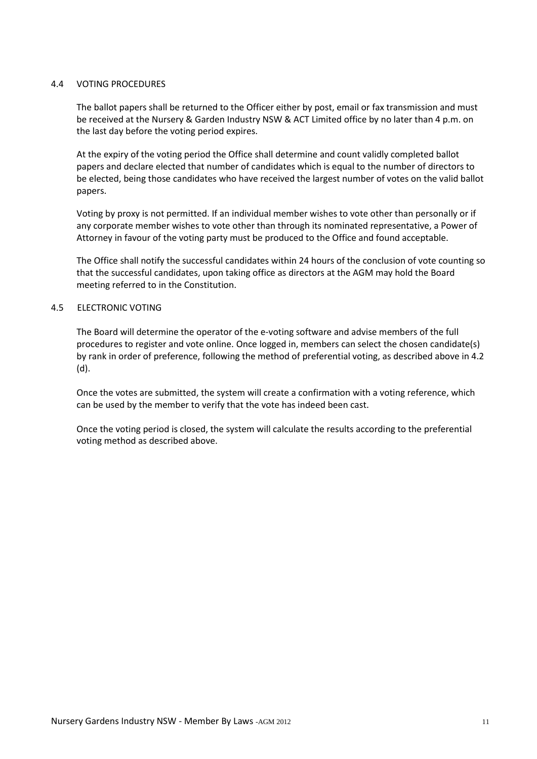#### 4.4 VOTING PROCEDURES

The ballot papers shall be returned to the Officer either by post, email or fax transmission and must be received at the Nursery & Garden Industry NSW & ACT Limited office by no later than 4 p.m. on the last day before the voting period expires.

At the expiry of the voting period the Office shall determine and count validly completed ballot papers and declare elected that number of candidates which is equal to the number of directors to be elected, being those candidates who have received the largest number of votes on the valid ballot papers.

Voting by proxy is not permitted. If an individual member wishes to vote other than personally or if any corporate member wishes to vote other than through its nominated representative, a Power of Attorney in favour of the voting party must be produced to the Office and found acceptable.

The Office shall notify the successful candidates within 24 hours of the conclusion of vote counting so that the successful candidates, upon taking office as directors at the AGM may hold the Board meeting referred to in the Constitution.

#### 4.5 ELECTRONIC VOTING

The Board will determine the operator of the e-voting software and advise members of the full procedures to register and vote online. Once logged in, members can select the chosen candidate(s) by rank in order of preference, following the method of preferential voting, as described above in 4.2 (d).

Once the votes are submitted, the system will create a confirmation with a voting reference, which can be used by the member to verify that the vote has indeed been cast.

Once the voting period is closed, the system will calculate the results according to the preferential voting method as described above.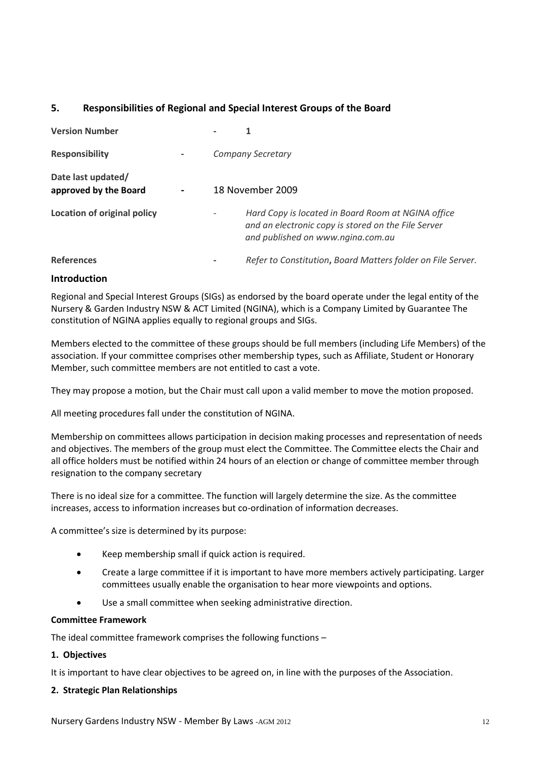#### <span id="page-11-0"></span>**5. Responsibilities of Regional and Special Interest Groups of the Board**

| <b>Version Number</b>                       | 1                                                                                                                                              |
|---------------------------------------------|------------------------------------------------------------------------------------------------------------------------------------------------|
| <b>Responsibility</b>                       | <b>Company Secretary</b>                                                                                                                       |
| Date last updated/<br>approved by the Board | 18 November 2009                                                                                                                               |
| Location of original policy                 | Hard Copy is located in Board Room at NGINA office<br>and an electronic copy is stored on the File Server<br>and published on www.ngina.com.au |
| <b>References</b>                           | Refer to Constitution, Board Matters folder on File Server.                                                                                    |

#### **Introduction**

Regional and Special Interest Groups (SIGs) as endorsed by the board operate under the legal entity of the Nursery & Garden Industry NSW & ACT Limited (NGINA), which is a Company Limited by Guarantee The constitution of NGINA applies equally to regional groups and SIGs.

Members elected to the committee of these groups should be full members (including Life Members) of the association. If your committee comprises other membership types, such as Affiliate, Student or Honorary Member, such committee members are not entitled to cast a vote.

They may propose a motion, but the Chair must call upon a valid member to move the motion proposed.

All meeting procedures fall under the constitution of NGINA.

Membership on committees allows participation in decision making processes and representation of needs and objectives. The members of the group must elect the Committee. The Committee elects the Chair and all office holders must be notified within 24 hours of an election or change of committee member through resignation to the company secretary

There is no ideal size for a committee. The function will largely determine the size. As the committee increases, access to information increases but co-ordination of information decreases.

A committee's size is determined by its purpose:

- Keep membership small if quick action is required.
- Create a large committee if it is important to have more members actively participating. Larger committees usually enable the organisation to hear more viewpoints and options.
- Use a small committee when seeking administrative direction.

#### **Committee Framework**

The ideal committee framework comprises the following functions –

#### **1. Objectives**

It is important to have clear objectives to be agreed on, in line with the purposes of the Association.

#### **2. Strategic Plan Relationships**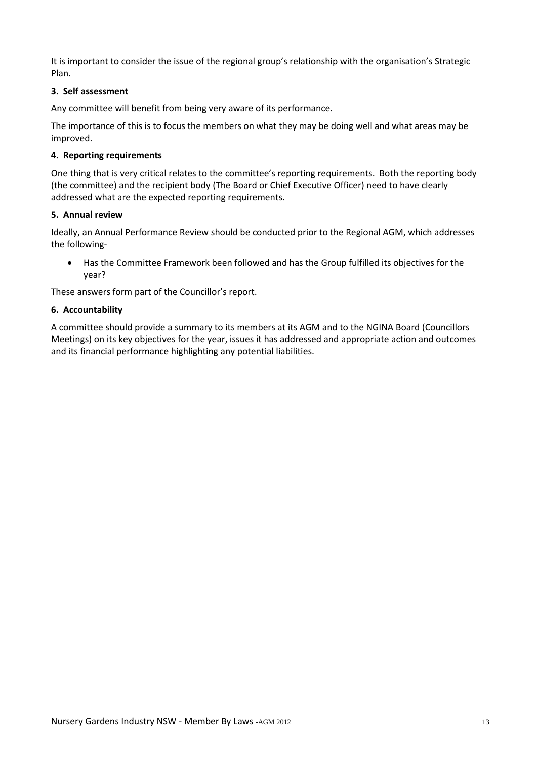It is important to consider the issue of the regional group's relationship with the organisation's Strategic Plan.

#### **3. Self assessment**

Any committee will benefit from being very aware of its performance.

The importance of this is to focus the members on what they may be doing well and what areas may be improved.

#### **4. Reporting requirements**

One thing that is very critical relates to the committee's reporting requirements. Both the reporting body (the committee) and the recipient body (The Board or Chief Executive Officer) need to have clearly addressed what are the expected reporting requirements.

#### **5. Annual review**

Ideally, an Annual Performance Review should be conducted prior to the Regional AGM, which addresses the following-

 Has the Committee Framework been followed and has the Group fulfilled its objectives for the year?

These answers form part of the Councillor's report.

#### **6. Accountability**

A committee should provide a summary to its members at its AGM and to the NGINA Board (Councillors Meetings) on its key objectives for the year, issues it has addressed and appropriate action and outcomes and its financial performance highlighting any potential liabilities.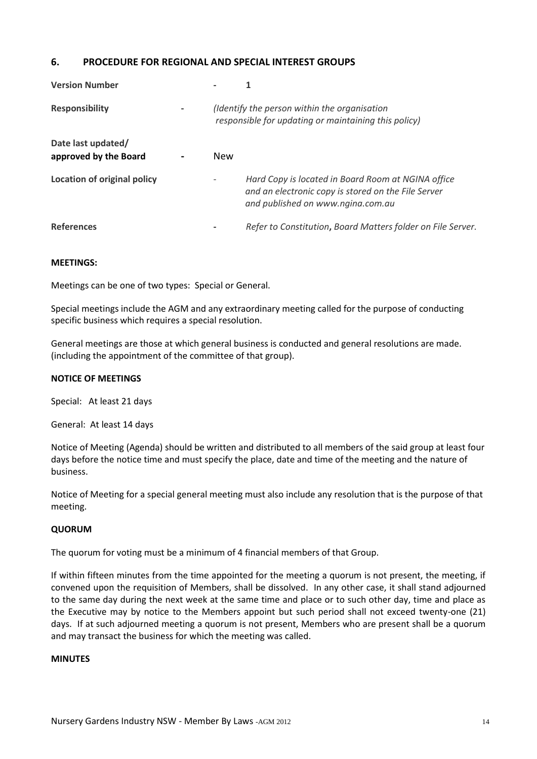#### <span id="page-13-0"></span>**6. PROCEDURE FOR REGIONAL AND SPECIAL INTEREST GROUPS**

| <b>Version Number</b>                       |            |                                                                                                                                                |
|---------------------------------------------|------------|------------------------------------------------------------------------------------------------------------------------------------------------|
| <b>Responsibility</b>                       |            | (Identify the person within the organisation<br>responsible for updating or maintaining this policy)                                           |
| Date last updated/<br>approved by the Board | <b>New</b> |                                                                                                                                                |
| <b>Location of original policy</b>          |            | Hard Copy is located in Board Room at NGINA office<br>and an electronic copy is stored on the File Server<br>and published on www.ngina.com.au |
| <b>References</b>                           |            | Refer to Constitution, Board Matters folder on File Server.                                                                                    |

#### **MEETINGS:**

Meetings can be one of two types: Special or General.

Special meetings include the AGM and any extraordinary meeting called for the purpose of conducting specific business which requires a special resolution.

General meetings are those at which general business is conducted and general resolutions are made. (including the appointment of the committee of that group).

#### **NOTICE OF MEETINGS**

Special: At least 21 days

General: At least 14 days

Notice of Meeting (Agenda) should be written and distributed to all members of the said group at least four days before the notice time and must specify the place, date and time of the meeting and the nature of business.

Notice of Meeting for a special general meeting must also include any resolution that is the purpose of that meeting.

#### **QUORUM**

The quorum for voting must be a minimum of 4 financial members of that Group.

If within fifteen minutes from the time appointed for the meeting a quorum is not present, the meeting, if convened upon the requisition of Members, shall be dissolved. In any other case, it shall stand adjourned to the same day during the next week at the same time and place or to such other day, time and place as the Executive may by notice to the Members appoint but such period shall not exceed twenty-one (21) days. If at such adjourned meeting a quorum is not present, Members who are present shall be a quorum and may transact the business for which the meeting was called.

#### **MINUTES**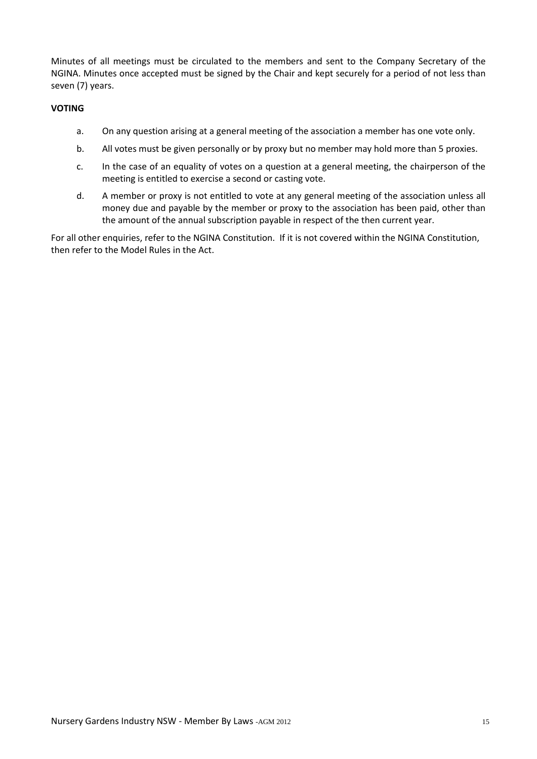Minutes of all meetings must be circulated to the members and sent to the Company Secretary of the NGINA. Minutes once accepted must be signed by the Chair and kept securely for a period of not less than seven (7) years.

#### **VOTING**

- a. On any question arising at a general meeting of the association a member has one vote only.
- b. All votes must be given personally or by proxy but no member may hold more than 5 proxies.
- c. In the case of an equality of votes on a question at a general meeting, the chairperson of the meeting is entitled to exercise a second or casting vote.
- d. A member or proxy is not entitled to vote at any general meeting of the association unless all money due and payable by the member or proxy to the association has been paid, other than the amount of the annual subscription payable in respect of the then current year.

For all other enquiries, refer to the NGINA Constitution. If it is not covered within the NGINA Constitution, then refer to the Model Rules in the Act.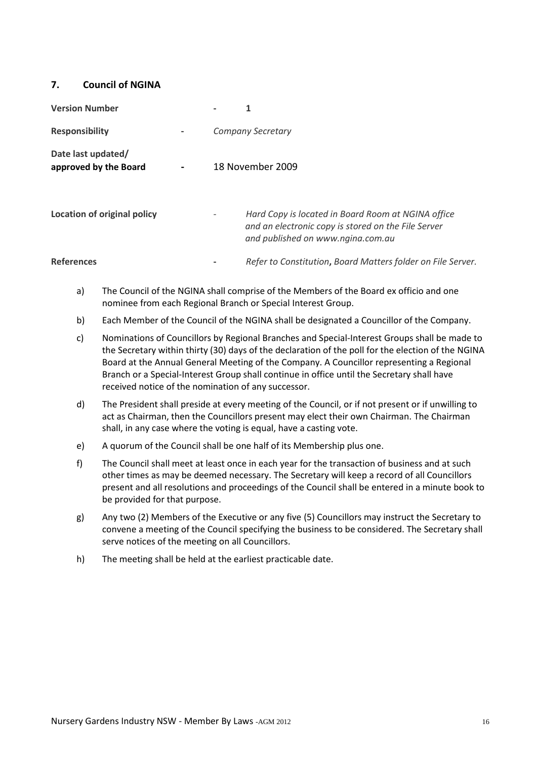#### <span id="page-15-0"></span>**7. Council of NGINA**

| <b>Version Number</b>                       |                                                                                                                                                |
|---------------------------------------------|------------------------------------------------------------------------------------------------------------------------------------------------|
| <b>Responsibility</b>                       | <b>Company Secretary</b>                                                                                                                       |
| Date last updated/<br>approved by the Board | 18 November 2009                                                                                                                               |
| Location of original policy                 | Hard Copy is located in Board Room at NGINA office<br>and an electronic copy is stored on the File Server<br>and published on www.ngina.com.au |
| <b>References</b>                           | Refer to Constitution, Board Matters folder on File Server.                                                                                    |

- a) The Council of the NGINA shall comprise of the Members of the Board ex officio and one nominee from each Regional Branch or Special Interest Group.
- b) Each Member of the Council of the NGINA shall be designated a Councillor of the Company.
- c) Nominations of Councillors by Regional Branches and Special-Interest Groups shall be made to the Secretary within thirty (30) days of the declaration of the poll for the election of the NGINA Board at the Annual General Meeting of the Company. A Councillor representing a Regional Branch or a Special-Interest Group shall continue in office until the Secretary shall have received notice of the nomination of any successor.
- d) The President shall preside at every meeting of the Council, or if not present or if unwilling to act as Chairman, then the Councillors present may elect their own Chairman. The Chairman shall, in any case where the voting is equal, have a casting vote.
- e) A quorum of the Council shall be one half of its Membership plus one.
- f) The Council shall meet at least once in each year for the transaction of business and at such other times as may be deemed necessary. The Secretary will keep a record of all Councillors present and all resolutions and proceedings of the Council shall be entered in a minute book to be provided for that purpose.
- g) Any two (2) Members of the Executive or any five (5) Councillors may instruct the Secretary to convene a meeting of the Council specifying the business to be considered. The Secretary shall serve notices of the meeting on all Councillors.
- h) The meeting shall be held at the earliest practicable date.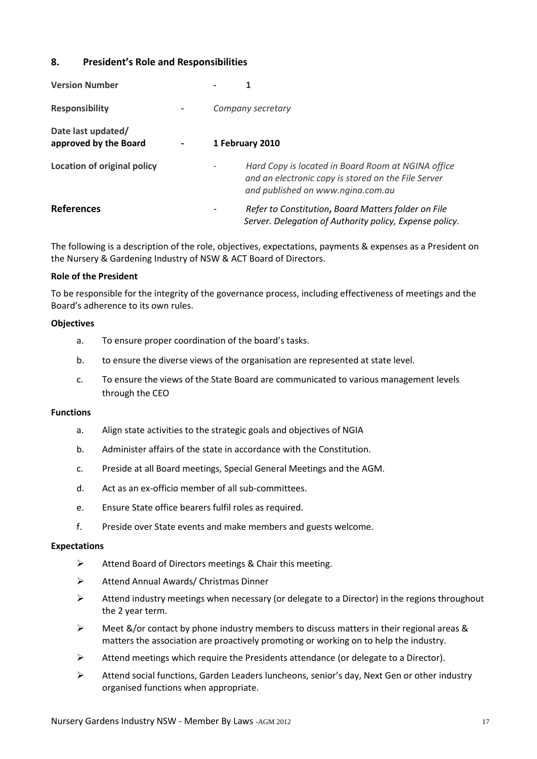#### <span id="page-16-0"></span>**8. President's Role and Responsibilities**

| <b>Version Number</b>                       |                   |                                                                                                                                                |
|---------------------------------------------|-------------------|------------------------------------------------------------------------------------------------------------------------------------------------|
| <b>Responsibility</b>                       | Company secretary |                                                                                                                                                |
| Date last updated/<br>approved by the Board | 1 February 2010   |                                                                                                                                                |
| Location of original policy                 |                   | Hard Copy is located in Board Room at NGINA office<br>and an electronic copy is stored on the File Server<br>and published on www.ngina.com.au |
| <b>References</b>                           |                   | Refer to Constitution, Board Matters folder on File<br>Server. Delegation of Authority policy, Expense policy.                                 |

The following is a description of the role, objectives, expectations, payments & expenses as a President on the Nursery & Gardening Industry of NSW & ACT Board of Directors.

#### **Role of the President**

To be responsible for the integrity of the governance process, including effectiveness of meetings and the Board's adherence to its own rules.

#### **Objectives**

- a. To ensure proper coordination of the board's tasks.
- b. to ensure the diverse views of the organisation are represented at state level.
- c. To ensure the views of the State Board are communicated to various management levels through the CEO

#### **Functions**

- a. Align state activities to the strategic goals and objectives of NGIA
- b. Administer affairs of the state in accordance with the Constitution.
- c. Preside at all Board meetings, Special General Meetings and the AGM.
- d. Act as an ex-officio member of all sub-committees.
- e. Ensure State office bearers fulfil roles as required.
- f. Preside over State events and make members and guests welcome.

#### **Expectations**

- Attend Board of Directors meetings & Chair this meeting.
- Attend Annual Awards/ Christmas Dinner
- $\triangleright$  Attend industry meetings when necessary (or delegate to a Director) in the regions throughout the 2 year term.
- $\triangleright$  Meet &/or contact by phone industry members to discuss matters in their regional areas & matters the association are proactively promoting or working on to help the industry.
- $\triangleright$  Attend meetings which require the Presidents attendance (or delegate to a Director).
- $\triangleright$  Attend social functions, Garden Leaders luncheons, senior's day, Next Gen or other industry organised functions when appropriate.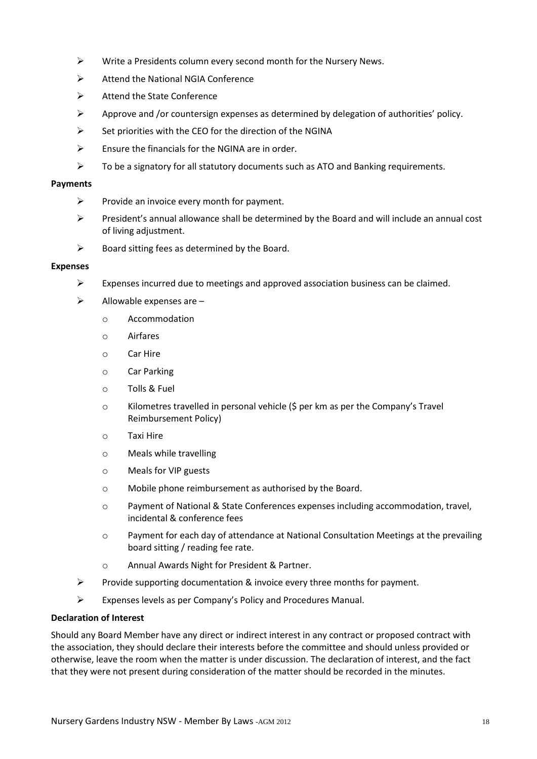- $\triangleright$  Write a Presidents column every second month for the Nursery News.
- Attend the National NGIA Conference
- $\triangleright$  Attend the State Conference
- $\triangleright$  Approve and /or countersign expenses as determined by delegation of authorities' policy.
- $\triangleright$  Set priorities with the CEO for the direction of the NGINA
- $\triangleright$  Ensure the financials for the NGINA are in order.
- $\triangleright$  To be a signatory for all statutory documents such as ATO and Banking requirements.

#### **Payments**

- $\triangleright$  Provide an invoice every month for payment.
- $\triangleright$  President's annual allowance shall be determined by the Board and will include an annual cost of living adjustment.
- $\triangleright$  Board sitting fees as determined by the Board.

#### **Expenses**

- $\triangleright$  Expenses incurred due to meetings and approved association business can be claimed.
- $\triangleright$  Allowable expenses are
	- o Accommodation
	- o Airfares
	- o Car Hire
	- o Car Parking
	- o Tolls & Fuel
	- o Kilometres travelled in personal vehicle (\$ per km as per the Company's Travel Reimbursement Policy)
	- o Taxi Hire
	- o Meals while travelling
	- o Meals for VIP guests
	- o Mobile phone reimbursement as authorised by the Board.
	- o Payment of National & State Conferences expenses including accommodation, travel, incidental & conference fees
	- o Payment for each day of attendance at National Consultation Meetings at the prevailing board sitting / reading fee rate.
	- o Annual Awards Night for President & Partner.
- Provide supporting documentation & invoice every three months for payment.
- Expenses levels as per Company's Policy and Procedures Manual.

#### **Declaration of Interest**

Should any Board Member have any direct or indirect interest in any contract or proposed contract with the association, they should declare their interests before the committee and should unless provided or otherwise, leave the room when the matter is under discussion. The declaration of interest, and the fact that they were not present during consideration of the matter should be recorded in the minutes.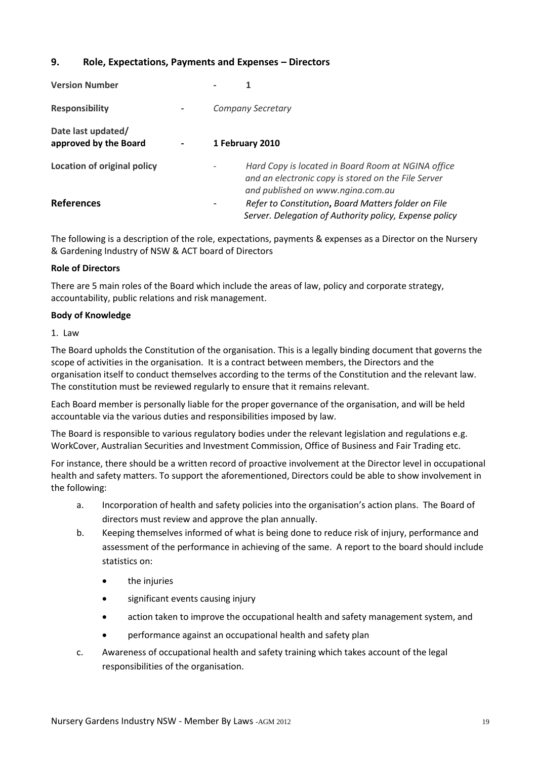#### <span id="page-18-0"></span>**9. Role, Expectations, Payments and Expenses – Directors**

| <b>Version Number</b>                       |  |                                                                                                                                                |
|---------------------------------------------|--|------------------------------------------------------------------------------------------------------------------------------------------------|
| <b>Responsibility</b>                       |  | <b>Company Secretary</b>                                                                                                                       |
| Date last updated/<br>approved by the Board |  | 1 February 2010                                                                                                                                |
| Location of original policy                 |  | Hard Copy is located in Board Room at NGINA office<br>and an electronic copy is stored on the File Server<br>and published on www.ngina.com.au |
| <b>References</b>                           |  | Refer to Constitution, Board Matters folder on File<br>Server. Delegation of Authority policy, Expense policy                                  |

The following is a description of the role, expectations, payments & expenses as a Director on the Nursery & Gardening Industry of NSW & ACT board of Directors

#### **Role of Directors**

There are 5 main roles of the Board which include the areas of law, policy and corporate strategy, accountability, public relations and risk management.

#### **Body of Knowledge**

1. Law

The Board upholds the Constitution of the organisation. This is a legally binding document that governs the scope of activities in the organisation. It is a contract between members, the Directors and the organisation itself to conduct themselves according to the terms of the Constitution and the relevant law. The constitution must be reviewed regularly to ensure that it remains relevant.

Each Board member is personally liable for the proper governance of the organisation, and will be held accountable via the various duties and responsibilities imposed by law.

The Board is responsible to various regulatory bodies under the relevant legislation and regulations e.g. WorkCover, Australian Securities and Investment Commission, Office of Business and Fair Trading etc.

For instance, there should be a written record of proactive involvement at the Director level in occupational health and safety matters. To support the aforementioned, Directors could be able to show involvement in the following:

- a. Incorporation of health and safety policies into the organisation's action plans. The Board of directors must review and approve the plan annually.
- b. Keeping themselves informed of what is being done to reduce risk of injury, performance and assessment of the performance in achieving of the same. A report to the board should include statistics on:
	- the injuries
	- significant events causing injury
	- action taken to improve the occupational health and safety management system, and
	- performance against an occupational health and safety plan
- c. Awareness of occupational health and safety training which takes account of the legal responsibilities of the organisation.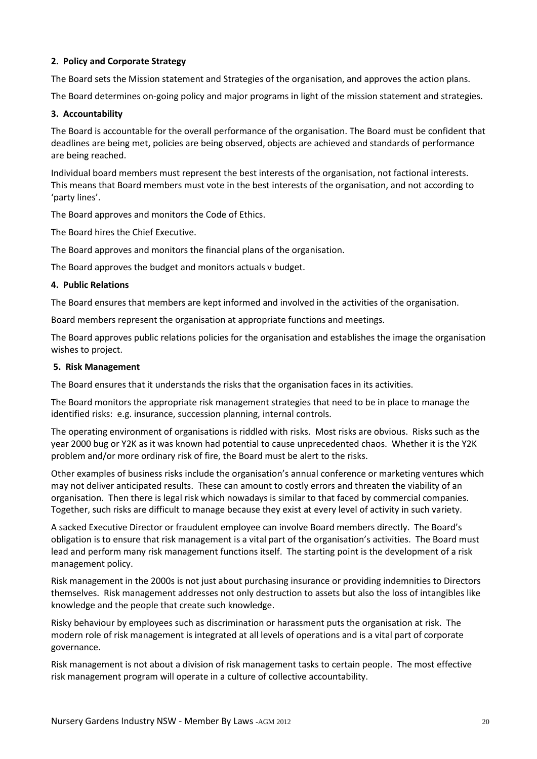#### **2. Policy and Corporate Strategy**

The Board sets the Mission statement and Strategies of the organisation, and approves the action plans.

The Board determines on-going policy and major programs in light of the mission statement and strategies.

#### **3. Accountability**

The Board is accountable for the overall performance of the organisation. The Board must be confident that deadlines are being met, policies are being observed, objects are achieved and standards of performance are being reached.

Individual board members must represent the best interests of the organisation, not factional interests. This means that Board members must vote in the best interests of the organisation, and not according to 'party lines'.

The Board approves and monitors the Code of Ethics.

The Board hires the Chief Executive.

The Board approves and monitors the financial plans of the organisation.

The Board approves the budget and monitors actuals v budget.

#### **4. Public Relations**

The Board ensures that members are kept informed and involved in the activities of the organisation.

Board members represent the organisation at appropriate functions and meetings.

The Board approves public relations policies for the organisation and establishes the image the organisation wishes to project.

#### **5. Risk Management**

The Board ensures that it understands the risks that the organisation faces in its activities.

The Board monitors the appropriate risk management strategies that need to be in place to manage the identified risks: e.g. insurance, succession planning, internal controls.

The operating environment of organisations is riddled with risks. Most risks are obvious. Risks such as the year 2000 bug or Y2K as it was known had potential to cause unprecedented chaos. Whether it is the Y2K problem and/or more ordinary risk of fire, the Board must be alert to the risks.

Other examples of business risks include the organisation's annual conference or marketing ventures which may not deliver anticipated results. These can amount to costly errors and threaten the viability of an organisation. Then there is legal risk which nowadays is similar to that faced by commercial companies. Together, such risks are difficult to manage because they exist at every level of activity in such variety.

A sacked Executive Director or fraudulent employee can involve Board members directly. The Board's obligation is to ensure that risk management is a vital part of the organisation's activities. The Board must lead and perform many risk management functions itself. The starting point is the development of a risk management policy.

Risk management in the 2000s is not just about purchasing insurance or providing indemnities to Directors themselves. Risk management addresses not only destruction to assets but also the loss of intangibles like knowledge and the people that create such knowledge.

Risky behaviour by employees such as discrimination or harassment puts the organisation at risk. The modern role of risk management is integrated at all levels of operations and is a vital part of corporate governance.

Risk management is not about a division of risk management tasks to certain people. The most effective risk management program will operate in a culture of collective accountability.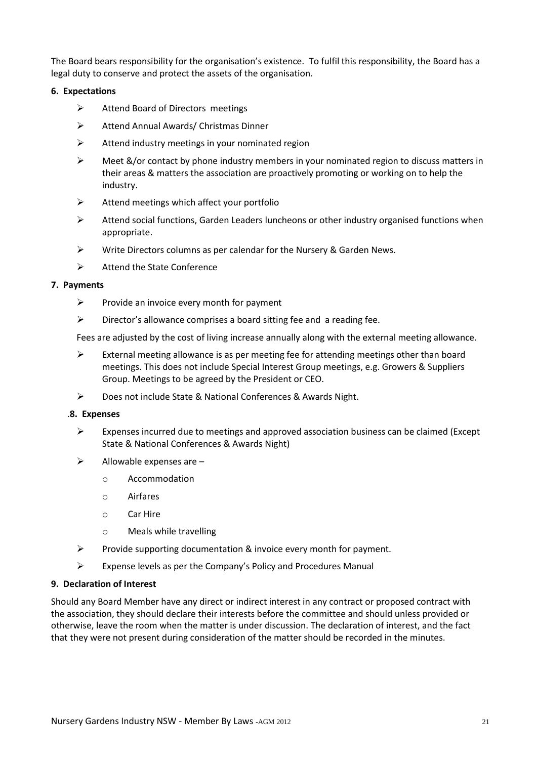The Board bears responsibility for the organisation's existence. To fulfil this responsibility, the Board has a legal duty to conserve and protect the assets of the organisation.

#### **6. Expectations**

- $\triangleright$  Attend Board of Directors meetings
- Attend Annual Awards/ Christmas Dinner
- $\triangleright$  Attend industry meetings in your nominated region
- $\triangleright$  Meet &/or contact by phone industry members in your nominated region to discuss matters in their areas & matters the association are proactively promoting or working on to help the industry.
- $\triangleright$  Attend meetings which affect your portfolio
- $\triangleright$  Attend social functions, Garden Leaders luncheons or other industry organised functions when appropriate.
- Write Directors columns as per calendar for the Nursery & Garden News.
- $\triangleright$  Attend the State Conference

#### **7. Payments**

- $\triangleright$  Provide an invoice every month for payment
- $\triangleright$  Director's allowance comprises a board sitting fee and a reading fee.

Fees are adjusted by the cost of living increase annually along with the external meeting allowance.

- $\triangleright$  External meeting allowance is as per meeting fee for attending meetings other than board meetings. This does not include Special Interest Group meetings, e.g. Growers & Suppliers Group. Meetings to be agreed by the President or CEO.
- Does not include State & National Conferences & Awards Night.

#### .**8. Expenses**

- $\triangleright$  Expenses incurred due to meetings and approved association business can be claimed (Except State & National Conferences & Awards Night)
- $\triangleright$  Allowable expenses are  $$ 
	- o Accommodation
	- o Airfares
	- o Car Hire
	- o Meals while travelling
- $\triangleright$  Provide supporting documentation & invoice every month for payment.
- $\triangleright$  Expense levels as per the Company's Policy and Procedures Manual

#### **9. Declaration of Interest**

Should any Board Member have any direct or indirect interest in any contract or proposed contract with the association, they should declare their interests before the committee and should unless provided or otherwise, leave the room when the matter is under discussion. The declaration of interest, and the fact that they were not present during consideration of the matter should be recorded in the minutes.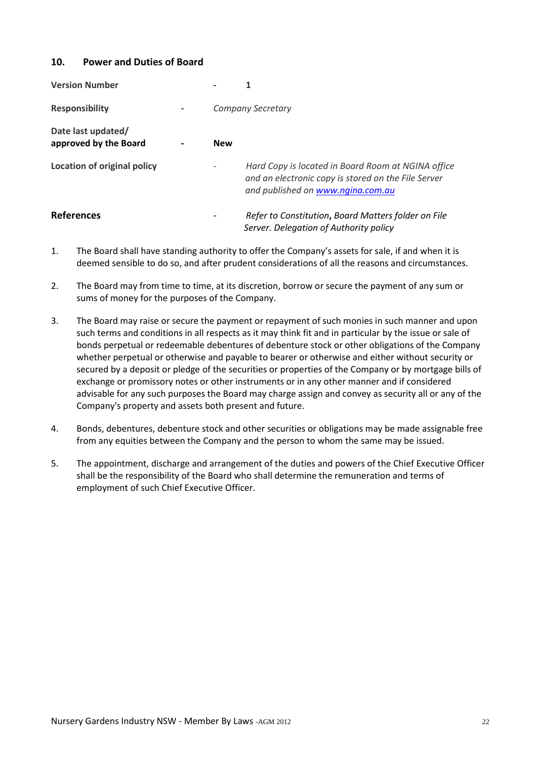#### <span id="page-21-0"></span>**10. Power and Duties of Board**

| <b>Version Number</b>                       |            |                                                                                                                                                |
|---------------------------------------------|------------|------------------------------------------------------------------------------------------------------------------------------------------------|
| <b>Responsibility</b>                       |            | <b>Company Secretary</b>                                                                                                                       |
| Date last updated/<br>approved by the Board | <b>New</b> |                                                                                                                                                |
| <b>Location of original policy</b>          |            | Hard Copy is located in Board Room at NGINA office<br>and an electronic copy is stored on the File Server<br>and published on www.ngina.com.au |
| <b>References</b>                           |            | Refer to Constitution, Board Matters folder on File<br>Server. Delegation of Authority policy                                                  |

- 1. The Board shall have standing authority to offer the Company's assets for sale, if and when it is deemed sensible to do so, and after prudent considerations of all the reasons and circumstances.
- 2. The Board may from time to time, at its discretion, borrow or secure the payment of any sum or sums of money for the purposes of the Company.
- 3. The Board may raise or secure the payment or repayment of such monies in such manner and upon such terms and conditions in all respects as it may think fit and in particular by the issue or sale of bonds perpetual or redeemable debentures of debenture stock or other obligations of the Company whether perpetual or otherwise and payable to bearer or otherwise and either without security or secured by a deposit or pledge of the securities or properties of the Company or by mortgage bills of exchange or promissory notes or other instruments or in any other manner and if considered advisable for any such purposes the Board may charge assign and convey as security all or any of the Company's property and assets both present and future.
- 4. Bonds, debentures, debenture stock and other securities or obligations may be made assignable free from any equities between the Company and the person to whom the same may be issued.
- 5. The appointment, discharge and arrangement of the duties and powers of the Chief Executive Officer shall be the responsibility of the Board who shall determine the remuneration and terms of employment of such Chief Executive Officer.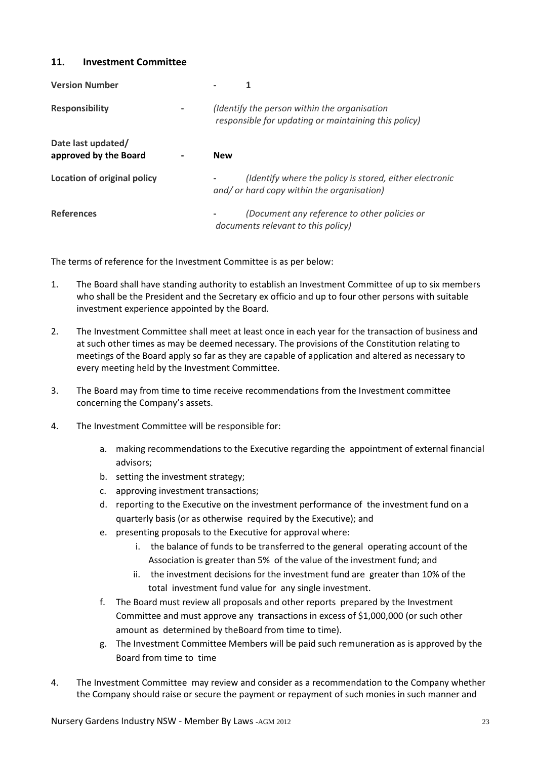#### <span id="page-22-0"></span>**11. Investment Committee**

| <b>Version Number</b>                       |                                                                                                       |
|---------------------------------------------|-------------------------------------------------------------------------------------------------------|
| <b>Responsibility</b>                       | (Identify the person within the organisation<br>responsible for updating or maintaining this policy)  |
| Date last updated/<br>approved by the Board | <b>New</b>                                                                                            |
| Location of original policy                 | (Identify where the policy is stored, either electronic<br>and/ or hard copy within the organisation) |
| <b>References</b>                           | (Document any reference to other policies or<br>documents relevant to this policy)                    |

The terms of reference for the Investment Committee is as per below:

- 1. The Board shall have standing authority to establish an Investment Committee of up to six members who shall be the President and the Secretary ex officio and up to four other persons with suitable investment experience appointed by the Board.
- 2. The Investment Committee shall meet at least once in each year for the transaction of business and at such other times as may be deemed necessary. The provisions of the Constitution relating to meetings of the Board apply so far as they are capable of application and altered as necessary to every meeting held by the Investment Committee.
- 3. The Board may from time to time receive recommendations from the Investment committee concerning the Company's assets.
- 4. The Investment Committee will be responsible for:
	- a. making recommendations to the Executive regarding the appointment of external financial advisors;
	- b. setting the investment strategy;
	- c. approving investment transactions;
	- d. reporting to the Executive on the investment performance of the investment fund on a quarterly basis (or as otherwise required by the Executive); and
	- e. presenting proposals to the Executive for approval where:
		- i. the balance of funds to be transferred to the general operating account of the Association is greater than 5% of the value of the investment fund; and
		- ii. the investment decisions for the investment fund are greater than 10% of the total investment fund value for any single investment.
	- f. The Board must review all proposals and other reports prepared by the Investment Committee and must approve any transactions in excess of \$1,000,000 (or such other amount as determined by theBoard from time to time).
	- g. The Investment Committee Members will be paid such remuneration as is approved by the Board from time to time
- 4. The Investment Committee may review and consider as a recommendation to the Company whether the Company should raise or secure the payment or repayment of such monies in such manner and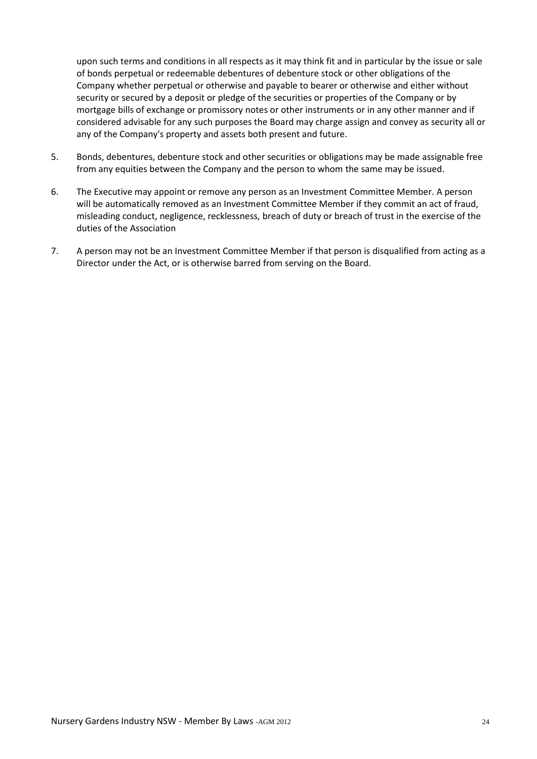upon such terms and conditions in all respects as it may think fit and in particular by the issue or sale of bonds perpetual or redeemable debentures of debenture stock or other obligations of the Company whether perpetual or otherwise and payable to bearer or otherwise and either without security or secured by a deposit or pledge of the securities or properties of the Company or by mortgage bills of exchange or promissory notes or other instruments or in any other manner and if considered advisable for any such purposes the Board may charge assign and convey as security all or any of the Company's property and assets both present and future.

- 5. Bonds, debentures, debenture stock and other securities or obligations may be made assignable free from any equities between the Company and the person to whom the same may be issued.
- 6. The Executive may appoint or remove any person as an Investment Committee Member. A person will be automatically removed as an Investment Committee Member if they commit an act of fraud, misleading conduct, negligence, recklessness, breach of duty or breach of trust in the exercise of the duties of the Association
- 7. A person may not be an Investment Committee Member if that person is disqualified from acting as a Director under the Act, or is otherwise barred from serving on the Board.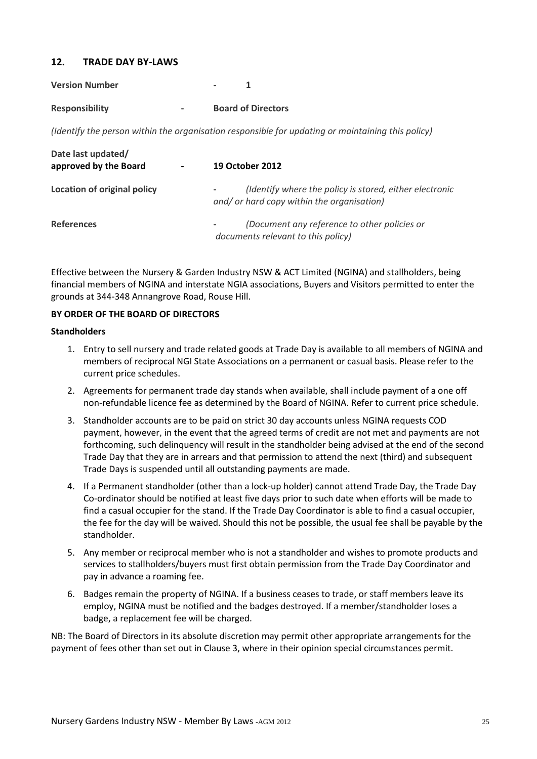#### <span id="page-24-0"></span>**12. TRADE DAY BY-LAWS**

| <b>Version Number</b> |   |                           |
|-----------------------|---|---------------------------|
| <b>Responsibility</b> | - | <b>Board of Directors</b> |

*(Identify the person within the organisation responsible for updating or maintaining this policy)*

| Date last updated/<br>approved by the Board | $\overline{\phantom{a}}$ | <b>19 October 2012</b>                                                                                                            |
|---------------------------------------------|--------------------------|-----------------------------------------------------------------------------------------------------------------------------------|
| Location of original policy                 |                          | (Identify where the policy is stored, either electronic<br>$\overline{\phantom{a}}$<br>and/ or hard copy within the organisation) |
| <b>References</b>                           |                          | (Document any reference to other policies or<br>$\overline{\phantom{a}}$<br>documents relevant to this policy)                    |

Effective between the Nursery & Garden Industry NSW & ACT Limited (NGINA) and stallholders, being financial members of NGINA and interstate NGIA associations, Buyers and Visitors permitted to enter the grounds at 344-348 Annangrove Road, Rouse Hill.

#### **BY ORDER OF THE BOARD OF DIRECTORS**

#### **Standholders**

- 1. Entry to sell nursery and trade related goods at Trade Day is available to all members of NGINA and members of reciprocal NGI State Associations on a permanent or casual basis. Please refer to the current price schedules.
- 2. Agreements for permanent trade day stands when available, shall include payment of a one off non-refundable licence fee as determined by the Board of NGINA. Refer to current price schedule.
- 3. Standholder accounts are to be paid on strict 30 day accounts unless NGINA requests COD payment, however, in the event that the agreed terms of credit are not met and payments are not forthcoming, such delinquency will result in the standholder being advised at the end of the second Trade Day that they are in arrears and that permission to attend the next (third) and subsequent Trade Days is suspended until all outstanding payments are made.
- 4. If a Permanent standholder (other than a lock-up holder) cannot attend Trade Day, the Trade Day Co-ordinator should be notified at least five days prior to such date when efforts will be made to find a casual occupier for the stand. If the Trade Day Coordinator is able to find a casual occupier, the fee for the day will be waived. Should this not be possible, the usual fee shall be payable by the standholder.
- 5. Any member or reciprocal member who is not a standholder and wishes to promote products and services to stallholders/buyers must first obtain permission from the Trade Day Coordinator and pay in advance a roaming fee.
- 6. Badges remain the property of NGINA. If a business ceases to trade, or staff members leave its employ, NGINA must be notified and the badges destroyed. If a member/standholder loses a badge, a replacement fee will be charged.

NB: The Board of Directors in its absolute discretion may permit other appropriate arrangements for the payment of fees other than set out in Clause 3, where in their opinion special circumstances permit.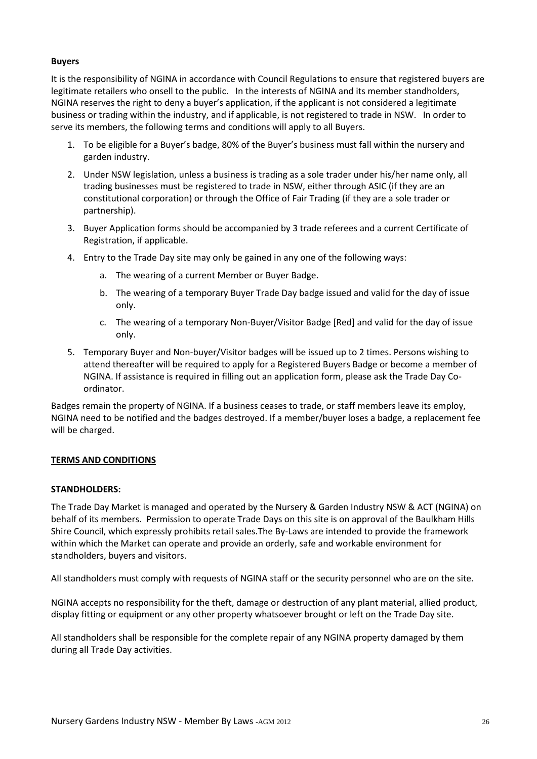#### **Buyers**

It is the responsibility of NGINA in accordance with Council Regulations to ensure that registered buyers are legitimate retailers who onsell to the public. In the interests of NGINA and its member standholders, NGINA reserves the right to deny a buyer's application, if the applicant is not considered a legitimate business or trading within the industry, and if applicable, is not registered to trade in NSW. In order to serve its members, the following terms and conditions will apply to all Buyers.

- 1. To be eligible for a Buyer's badge, 80% of the Buyer's business must fall within the nursery and garden industry.
- 2. Under NSW legislation, unless a business is trading as a sole trader under his/her name only, all trading businesses must be registered to trade in NSW, either through ASIC (if they are an constitutional corporation) or through the Office of Fair Trading (if they are a sole trader or partnership).
- 3. Buyer Application forms should be accompanied by 3 trade referees and a current Certificate of Registration, if applicable.
- 4. Entry to the Trade Day site may only be gained in any one of the following ways:
	- a. The wearing of a current Member or Buyer Badge.
	- b. The wearing of a temporary Buyer Trade Day badge issued and valid for the day of issue only.
	- c. The wearing of a temporary Non-Buyer/Visitor Badge [Red] and valid for the day of issue only.
- 5. Temporary Buyer and Non-buyer/Visitor badges will be issued up to 2 times. Persons wishing to attend thereafter will be required to apply for a Registered Buyers Badge or become a member of NGINA. If assistance is required in filling out an application form, please ask the Trade Day Coordinator.

Badges remain the property of NGINA. If a business ceases to trade, or staff members leave its employ, NGINA need to be notified and the badges destroyed. If a member/buyer loses a badge, a replacement fee will be charged.

#### **TERMS AND CONDITIONS**

#### **STANDHOLDERS:**

The Trade Day Market is managed and operated by the Nursery & Garden Industry NSW & ACT (NGINA) on behalf of its members. Permission to operate Trade Days on this site is on approval of the Baulkham Hills Shire Council, which expressly prohibits retail sales.The By-Laws are intended to provide the framework within which the Market can operate and provide an orderly, safe and workable environment for standholders, buyers and visitors.

All standholders must comply with requests of NGINA staff or the security personnel who are on the site.

NGINA accepts no responsibility for the theft, damage or destruction of any plant material, allied product, display fitting or equipment or any other property whatsoever brought or left on the Trade Day site.

All standholders shall be responsible for the complete repair of any NGINA property damaged by them during all Trade Day activities.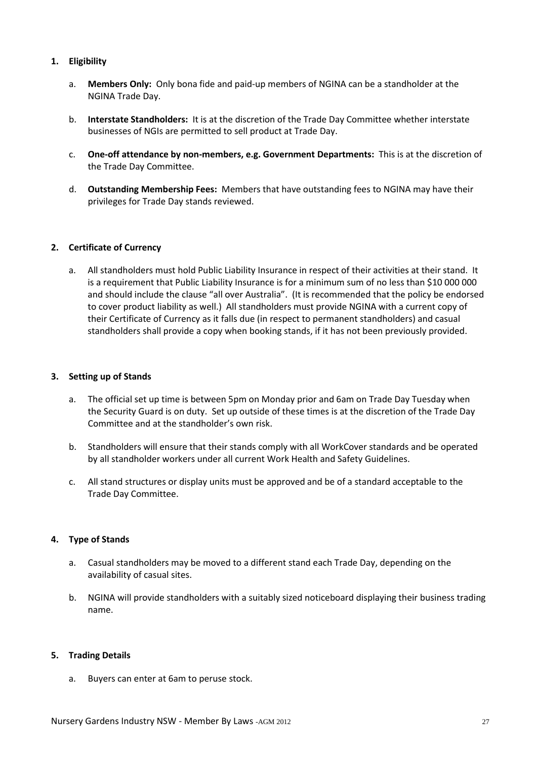#### **1. Eligibility**

- a. **Members Only:** Only bona fide and paid-up members of NGINA can be a standholder at the NGINA Trade Day.
- b. **Interstate Standholders:** It is at the discretion of the Trade Day Committee whether interstate businesses of NGIs are permitted to sell product at Trade Day.
- c. **One-off attendance by non-members, e.g. Government Departments:** This is at the discretion of the Trade Day Committee.
- d. **Outstanding Membership Fees:** Members that have outstanding fees to NGINA may have their privileges for Trade Day stands reviewed.

#### **2. Certificate of Currency**

a. All standholders must hold Public Liability Insurance in respect of their activities at their stand. It is a requirement that Public Liability Insurance is for a minimum sum of no less than \$10 000 000 and should include the clause "all over Australia". (It is recommended that the policy be endorsed to cover product liability as well.) All standholders must provide NGINA with a current copy of their Certificate of Currency as it falls due (in respect to permanent standholders) and casual standholders shall provide a copy when booking stands, if it has not been previously provided.

#### **3. Setting up of Stands**

- a. The official set up time is between 5pm on Monday prior and 6am on Trade Day Tuesday when the Security Guard is on duty. Set up outside of these times is at the discretion of the Trade Day Committee and at the standholder's own risk.
- b. Standholders will ensure that their stands comply with all WorkCover standards and be operated by all standholder workers under all current Work Health and Safety Guidelines.
- c. All stand structures or display units must be approved and be of a standard acceptable to the Trade Day Committee.

#### **4. Type of Stands**

- a. Casual standholders may be moved to a different stand each Trade Day, depending on the availability of casual sites.
- b. NGINA will provide standholders with a suitably sized noticeboard displaying their business trading name.

#### **5. Trading Details**

a. Buyers can enter at 6am to peruse stock.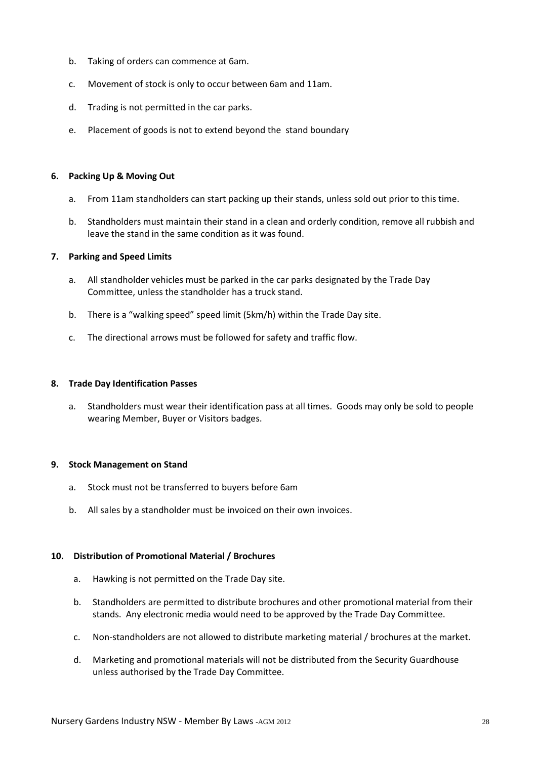- b. Taking of orders can commence at 6am.
- c. Movement of stock is only to occur between 6am and 11am.
- d. Trading is not permitted in the car parks.
- e. Placement of goods is not to extend beyond the stand boundary

#### **6. Packing Up & Moving Out**

- a. From 11am standholders can start packing up their stands, unless sold out prior to this time.
- b. Standholders must maintain their stand in a clean and orderly condition, remove all rubbish and leave the stand in the same condition as it was found.

#### **7. Parking and Speed Limits**

- a. All standholder vehicles must be parked in the car parks designated by the Trade Day Committee, unless the standholder has a truck stand.
- b. There is a "walking speed" speed limit (5km/h) within the Trade Day site.
- c. The directional arrows must be followed for safety and traffic flow.

#### **8. Trade Day Identification Passes**

a. Standholders must wear their identification pass at all times. Goods may only be sold to people wearing Member, Buyer or Visitors badges.

#### **9. Stock Management on Stand**

- a. Stock must not be transferred to buyers before 6am
- b. All sales by a standholder must be invoiced on their own invoices.

#### **10. Distribution of Promotional Material / Brochures**

- a. Hawking is not permitted on the Trade Day site.
- b. Standholders are permitted to distribute brochures and other promotional material from their stands. Any electronic media would need to be approved by the Trade Day Committee.
- c. Non-standholders are not allowed to distribute marketing material / brochures at the market.
- d. Marketing and promotional materials will not be distributed from the Security Guardhouse unless authorised by the Trade Day Committee.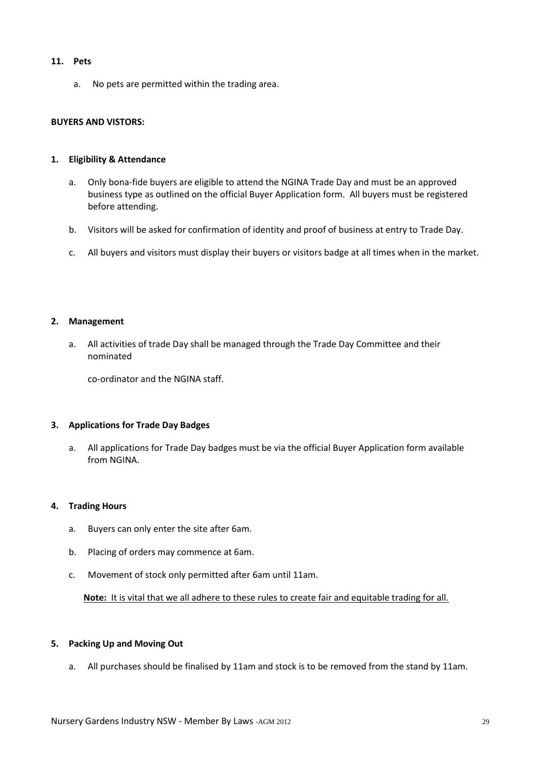#### **11. Pets**

a. No pets are permitted within the trading area.

#### **BUYERS AND VISTORS:**

#### **1. Eligibility & Attendance**

- a. Only bona-fide buyers are eligible to attend the NGINA Trade Day and must be an approved business type as outlined on the official Buyer Application form. All buyers must be registered before attending.
- b. Visitors will be asked for confirmation of identity and proof of business at entry to Trade Day.
- c. All buyers and visitors must display their buyers or visitors badge at all times when in the market.

#### **2. Management**

a. All activities of trade Day shall be managed through the Trade Day Committee and their nominated

co-ordinator and the NGINA staff.

#### **3. Applications for Trade Day Badges**

a. All applications for Trade Day badges must be via the official Buyer Application form available from NGINA.

#### **4. Trading Hours**

- a. Buyers can only enter the site after 6am.
- b. Placing of orders may commence at 6am.
- c. Movement of stock only permitted after 6am until 11am.

**Note:** It is vital that we all adhere to these rules to create fair and equitable trading for all.

#### **5. Packing Up and Moving Out**

a. All purchases should be finalised by 11am and stock is to be removed from the stand by 11am.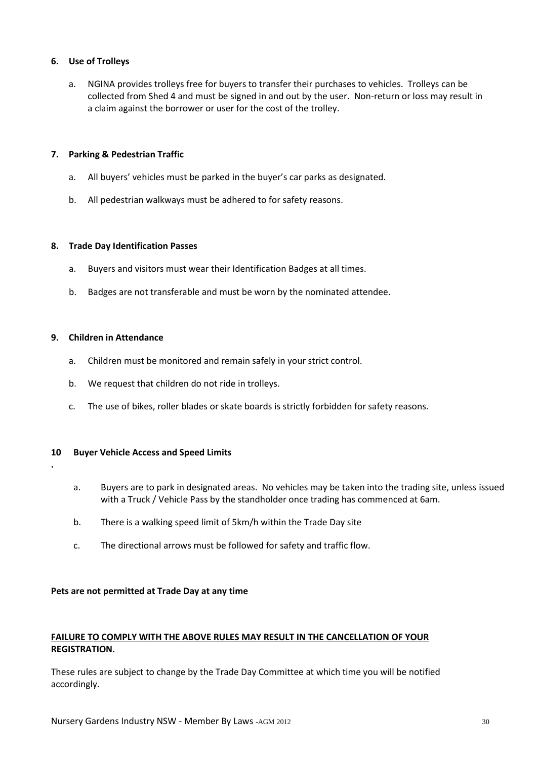#### **6. Use of Trolleys**

a. NGINA provides trolleys free for buyers to transfer their purchases to vehicles. Trolleys can be collected from Shed 4 and must be signed in and out by the user. Non-return or loss may result in a claim against the borrower or user for the cost of the trolley.

#### **7. Parking & Pedestrian Traffic**

- a. All buyers' vehicles must be parked in the buyer's car parks as designated.
- b. All pedestrian walkways must be adhered to for safety reasons.

#### **8. Trade Day Identification Passes**

- a. Buyers and visitors must wear their Identification Badges at all times.
- b. Badges are not transferable and must be worn by the nominated attendee.

#### **9. Children in Attendance**

**.**

- a. Children must be monitored and remain safely in your strict control.
- b. We request that children do not ride in trolleys.
- c. The use of bikes, roller blades or skate boards is strictly forbidden for safety reasons.

#### **10 Buyer Vehicle Access and Speed Limits**

- a. Buyers are to park in designated areas. No vehicles may be taken into the trading site, unless issued with a Truck / Vehicle Pass by the standholder once trading has commenced at 6am.
- b. There is a walking speed limit of 5km/h within the Trade Day site
- c. The directional arrows must be followed for safety and traffic flow.

#### **Pets are not permitted at Trade Day at any time**

#### **FAILURE TO COMPLY WITH THE ABOVE RULES MAY RESULT IN THE CANCELLATION OF YOUR REGISTRATION.**

These rules are subject to change by the Trade Day Committee at which time you will be notified accordingly.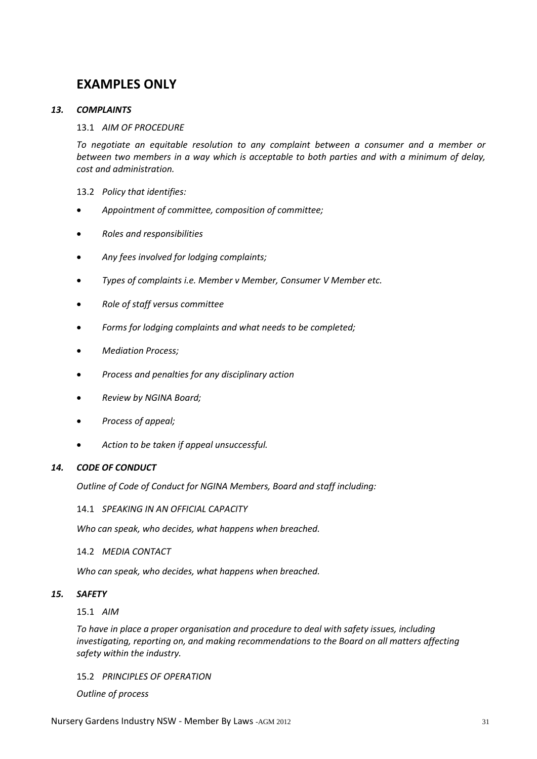### **EXAMPLES ONLY**

#### <span id="page-30-0"></span>*13. COMPLAINTS*

#### 13.1 *AIM OF PROCEDURE*

*To negotiate an equitable resolution to any complaint between a consumer and a member or between two members in a way which is acceptable to both parties and with a minimum of delay, cost and administration.*

#### 13.2 *Policy that identifies:*

- *Appointment of committee, composition of committee;*
- *Roles and responsibilities*
- *Any fees involved for lodging complaints;*
- *Types of complaints i.e. Member v Member, Consumer V Member etc.*
- *Role of staff versus committee*
- *Forms for lodging complaints and what needs to be completed;*
- *Mediation Process;*
- *Process and penalties for any disciplinary action*
- *Review by NGINA Board;*
- *Process of appeal;*
- *Action to be taken if appeal unsuccessful.*

#### <span id="page-30-1"></span>*14. CODE OF CONDUCT*

*Outline of Code of Conduct for NGINA Members, Board and staff including:*

14.1 *SPEAKING IN AN OFFICIAL CAPACITY*

*Who can speak, who decides, what happens when breached.*

#### 14.2 *MEDIA CONTACT*

*Who can speak, who decides, what happens when breached.*

#### <span id="page-30-2"></span>*15. SAFETY*

15.1 *AIM*

*To have in place a proper organisation and procedure to deal with safety issues, including investigating, reporting on, and making recommendations to the Board on all matters affecting safety within the industry.*

#### 15.2 *PRINCIPLES OF OPERATION*

*Outline of process*